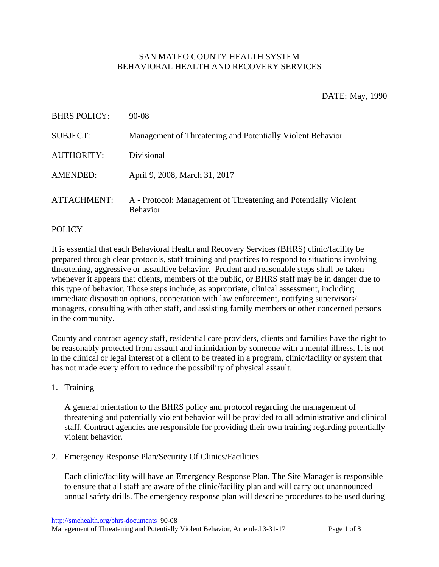## SAN MATEO COUNTY HEALTH SYSTEM BEHAVIORAL HEALTH AND RECOVERY SERVICES

## DATE: May, 1990

| <b>BHRS POLICY:</b> | 90-08                                                                              |
|---------------------|------------------------------------------------------------------------------------|
| <b>SUBJECT:</b>     | Management of Threatening and Potentially Violent Behavior                         |
| <b>AUTHORITY:</b>   | Divisional                                                                         |
| <b>AMENDED:</b>     | April 9, 2008, March 31, 2017                                                      |
| <b>ATTACHMENT:</b>  | A - Protocol: Management of Threatening and Potentially Violent<br><b>Behavior</b> |

## POLICY

It is essential that each Behavioral Health and Recovery Services (BHRS) clinic/facility be prepared through clear protocols, staff training and practices to respond to situations involving threatening, aggressive or assaultive behavior. Prudent and reasonable steps shall be taken whenever it appears that clients, members of the public, or BHRS staff may be in danger due to this type of behavior. Those steps include, as appropriate, clinical assessment, including immediate disposition options, cooperation with law enforcement, notifying supervisors/ managers, consulting with other staff, and assisting family members or other concerned persons in the community.

County and contract agency staff, residential care providers, clients and families have the right to be reasonably protected from assault and intimidation by someone with a mental illness. It is not in the clinical or legal interest of a client to be treated in a program, clinic/facility or system that has not made every effort to reduce the possibility of physical assault.

1. Training

A general orientation to the BHRS policy and protocol regarding the management of threatening and potentially violent behavior will be provided to all administrative and clinical staff. Contract agencies are responsible for providing their own training regarding potentially violent behavior.

2. Emergency Response Plan/Security Of Clinics/Facilities

Each clinic/facility will have an Emergency Response Plan. The Site Manager is responsible to ensure that all staff are aware of the clinic/facility plan and will carry out unannounced annual safety drills. The emergency response plan will describe procedures to be used during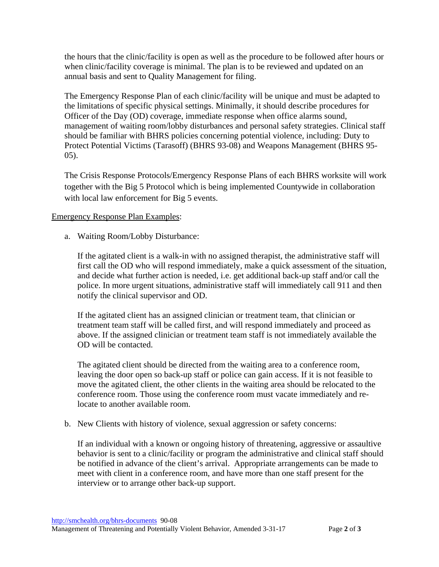the hours that the clinic/facility is open as well as the procedure to be followed after hours or when clinic/facility coverage is minimal. The plan is to be reviewed and updated on an annual basis and sent to Quality Management for filing.

The Emergency Response Plan of each clinic/facility will be unique and must be adapted to the limitations of specific physical settings. Minimally, it should describe procedures for Officer of the Day (OD) coverage, immediate response when office alarms sound, management of waiting room/lobby disturbances and personal safety strategies. Clinical staff should be familiar with BHRS policies concerning potential violence, including: Duty to Protect Potential Victims (Tarasoff) (BHRS 93-08) and Weapons Management (BHRS 95- 05).

The Crisis Response Protocols/Emergency Response Plans of each BHRS worksite will work together with the Big 5 Protocol which is being implemented Countywide in collaboration with local law enforcement for Big 5 events.

## Emergency Response Plan Examples:

a. Waiting Room/Lobby Disturbance:

If the agitated client is a walk-in with no assigned therapist, the administrative staff will first call the OD who will respond immediately, make a quick assessment of the situation, and decide what further action is needed, i.e. get additional back-up staff and/or call the police. In more urgent situations, administrative staff will immediately call 911 and then notify the clinical supervisor and OD.

If the agitated client has an assigned clinician or treatment team, that clinician or treatment team staff will be called first, and will respond immediately and proceed as above. If the assigned clinician or treatment team staff is not immediately available the OD will be contacted.

The agitated client should be directed from the waiting area to a conference room, leaving the door open so back-up staff or police can gain access. If it is not feasible to move the agitated client, the other clients in the waiting area should be relocated to the conference room. Those using the conference room must vacate immediately and relocate to another available room.

b. New Clients with history of violence, sexual aggression or safety concerns:

If an individual with a known or ongoing history of threatening, aggressive or assaultive behavior is sent to a clinic/facility or program the administrative and clinical staff should be notified in advance of the client's arrival. Appropriate arrangements can be made to meet with client in a conference room, and have more than one staff present for the interview or to arrange other back-up support.